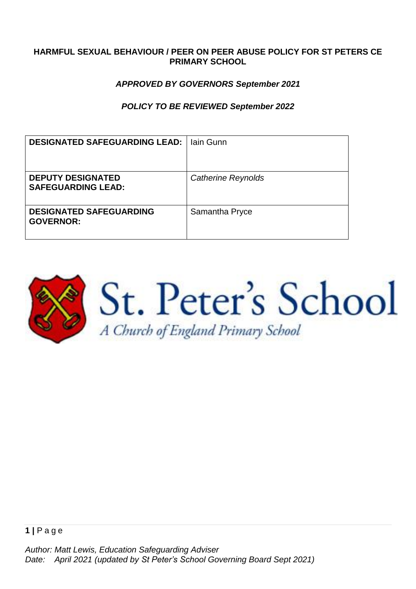### **HARMFUL SEXUAL BEHAVIOUR / PEER ON PEER ABUSE POLICY FOR ST PETERS CE PRIMARY SCHOOL**

### *APPROVED BY GOVERNORS September 2021*

### *POLICY TO BE REVIEWED September 2022*

| <b>DESIGNATED SAFEGUARDING LEAD:</b>                  | lain Gunn                 |
|-------------------------------------------------------|---------------------------|
| <b>DEPUTY DESIGNATED</b><br><b>SAFEGUARDING LEAD:</b> | <b>Catherine Reynolds</b> |
| <b>DESIGNATED SAFEGUARDING</b><br><b>GOVERNOR:</b>    | Samantha Pryce            |

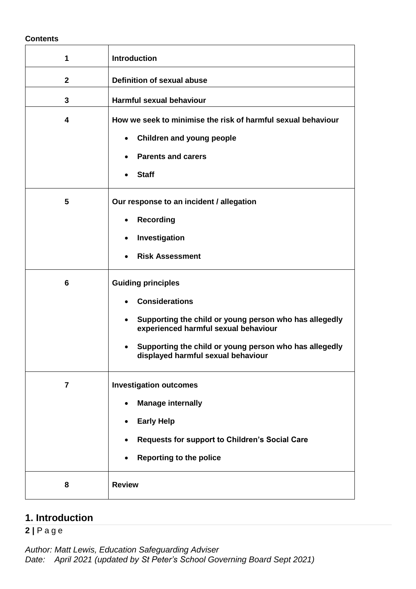#### **Contents**

| 1              | <b>Introduction</b>                                                                                                                                                                                                                                               |
|----------------|-------------------------------------------------------------------------------------------------------------------------------------------------------------------------------------------------------------------------------------------------------------------|
| $\mathbf{2}$   | <b>Definition of sexual abuse</b>                                                                                                                                                                                                                                 |
| 3              | Harmful sexual behaviour                                                                                                                                                                                                                                          |
| 4              | How we seek to minimise the risk of harmful sexual behaviour<br><b>Children and young people</b><br>$\bullet$<br><b>Parents and carers</b><br><b>Staff</b>                                                                                                        |
| 5              | Our response to an incident / allegation<br><b>Recording</b><br>$\bullet$<br>Investigation<br>٠<br><b>Risk Assessment</b>                                                                                                                                         |
| 6              | <b>Guiding principles</b><br><b>Considerations</b><br>Supporting the child or young person who has allegedly<br>$\bullet$<br>experienced harmful sexual behaviour<br>Supporting the child or young person who has allegedly<br>displayed harmful sexual behaviour |
| $\overline{7}$ | <b>Investigation outcomes</b><br><b>Manage internally</b><br><b>Early Help</b><br>$\bullet$<br>Requests for support to Children's Social Care<br><b>Reporting to the police</b>                                                                                   |
| 8              | <b>Review</b>                                                                                                                                                                                                                                                     |

## **1. Introduction**

**2 |** P a g e

*Author: Matt Lewis, Education Safeguarding Adviser Date: April 2021 (updated by St Peter's School Governing Board Sept 2021)*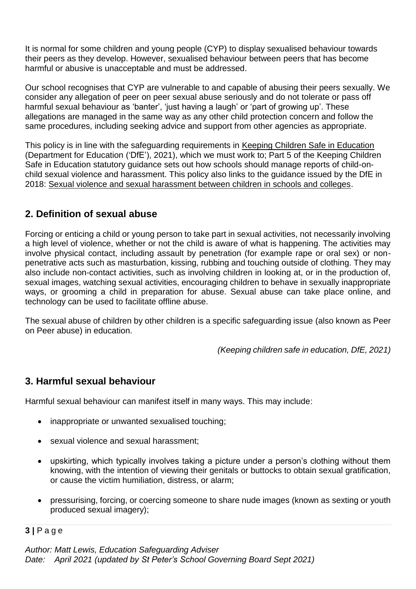It is normal for some children and young people (CYP) to display sexualised behaviour towards their peers as they develop. However, sexualised behaviour between peers that has become harmful or abusive is unacceptable and must be addressed.

Our school recognises that CYP are vulnerable to and capable of abusing their peers sexually. We consider any allegation of peer on peer sexual abuse seriously and do not tolerate or pass off harmful sexual behaviour as 'banter', 'just having a laugh' or 'part of growing up'. These allegations are managed in the same way as any other child protection concern and follow the same procedures, including seeking advice and support from other agencies as appropriate.

This policy is in line with the safeguarding requirements in [Keeping Children Safe in Education](https://eur02.safelinks.protection.outlook.com/?url=https%3A%2F%2Fassets.publishing.service.gov.uk%2Fgovernment%2Fuploads%2Fsystem%2Fuploads%2Fattachment_data%2Ffile%2F954314%2FKeeping_children_safe_in_education_2020_-_Update_-_January_2021.pdf&data=04%7C01%7C%7Cf2e9fff87b2149eb72d208d8fe84ac80%7Ca8b4324f155c4215a0f17ed8cc9a992f%7C0%7C0%7C637539193225028841%7CUnknown%7CTWFpbGZsb3d8eyJWIjoiMC4wLjAwMDAiLCJQIjoiV2luMzIiLCJBTiI6Ik1haWwiLCJXVCI6Mn0%3D%7C1000&sdata=VnfJGiVrh%2BweNNu%2BiwjdcWv8RJzWF6EvSn1d8NGC7oE%3D&reserved=0) (Department for Education ('DfE'), 2021), which we must work to; Part 5 of the Keeping Children Safe in Education statutory guidance sets out how schools should manage reports of child-onchild sexual violence and harassment. This policy also links to the guidance issued by the DfE in 2018: [Sexual violence and sexual harassment between children in schools and colleges.](https://eur02.safelinks.protection.outlook.com/?url=https%3A%2F%2Fwww.gov.uk%2Fgovernment%2Fpublications%2Fsexual-violence-and-sexual-harassment-between-children-in-schools-and-colleges&data=04%7C01%7C%7Cf2e9fff87b2149eb72d208d8fe84ac80%7Ca8b4324f155c4215a0f17ed8cc9a992f%7C0%7C0%7C637539193225038798%7CUnknown%7CTWFpbGZsb3d8eyJWIjoiMC4wLjAwMDAiLCJQIjoiV2luMzIiLCJBTiI6Ik1haWwiLCJXVCI6Mn0%3D%7C1000&sdata=ZYrHV9%2FJUndIMjNVX505sSFT9UICMSs637uOd9Oag4Q%3D&reserved=0)

## **2. Definition of sexual abuse**

Forcing or enticing a child or young person to take part in sexual activities, not necessarily involving a high level of violence, whether or not the child is aware of what is happening. The activities may involve physical contact, including assault by penetration (for example rape or oral sex) or nonpenetrative acts such as masturbation, kissing, rubbing and touching outside of clothing. They may also include non-contact activities, such as involving children in looking at, or in the production of, sexual images, watching sexual activities, encouraging children to behave in sexually inappropriate ways, or grooming a child in preparation for abuse. Sexual abuse can take place online, and technology can be used to facilitate offline abuse.

The sexual abuse of children by other children is a specific safeguarding issue (also known as Peer on Peer abuse) in education.

*(Keeping children safe in education, DfE, 2021)*

## **3. Harmful sexual behaviour**

Harmful sexual behaviour can manifest itself in many ways. This may include:

- inappropriate or unwanted sexualised touching;
- sexual violence and sexual harassment;
- upskirting, which typically involves taking a picture under a person's clothing without them knowing, with the intention of viewing their genitals or buttocks to obtain sexual gratification, or cause the victim humiliation, distress, or alarm;
- pressurising, forcing, or coercing someone to share nude images (known as sexting or youth produced sexual imagery);

**3 |** P a g e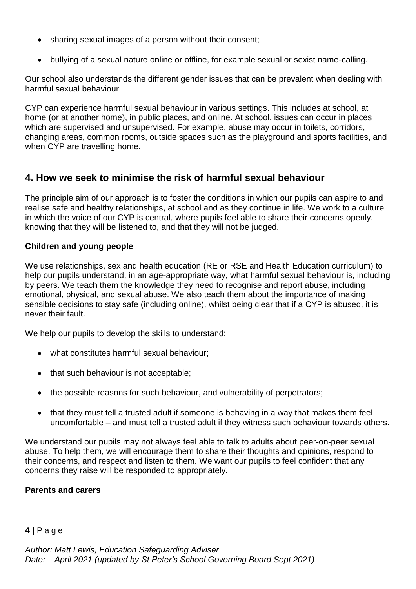- sharing sexual images of a person without their consent;
- bullying of a sexual nature online or offline, for example sexual or sexist name-calling.

Our school also understands the different gender issues that can be prevalent when dealing with harmful sexual behaviour.

CYP can experience harmful sexual behaviour in various settings. This includes at school, at home (or at another home), in public places, and online. At school, issues can occur in places which are supervised and unsupervised. For example, abuse may occur in toilets, corridors, changing areas, common rooms, outside spaces such as the playground and sports facilities, and when CYP are travelling home.

## **4. How we seek to minimise the risk of harmful sexual behaviour**

The principle aim of our approach is to foster the conditions in which our pupils can aspire to and realise safe and healthy relationships, at school and as they continue in life. We work to a culture in which the voice of our CYP is central, where pupils feel able to share their concerns openly, knowing that they will be listened to, and that they will not be judged.

### **Children and young people**

We use relationships, sex and health education (RE or RSE and Health Education curriculum) to help our pupils understand, in an age-appropriate way, what harmful sexual behaviour is, including by peers. We teach them the knowledge they need to recognise and report abuse, including emotional, physical, and sexual abuse. We also teach them about the importance of making sensible decisions to stay safe (including online), whilst being clear that if a CYP is abused, it is never their fault.

We help our pupils to develop the skills to understand:

- what constitutes harmful sexual behaviour;
- that such behaviour is not acceptable;
- the possible reasons for such behaviour, and vulnerability of perpetrators;
- that they must tell a trusted adult if someone is behaving in a way that makes them feel uncomfortable – and must tell a trusted adult if they witness such behaviour towards others.

We understand our pupils may not always feel able to talk to adults about peer-on-peer sexual abuse. To help them, we will encourage them to share their thoughts and opinions, respond to their concerns, and respect and listen to them. We want our pupils to feel confident that any concerns they raise will be responded to appropriately.

### **Parents and carers**

## **4 |** P a g e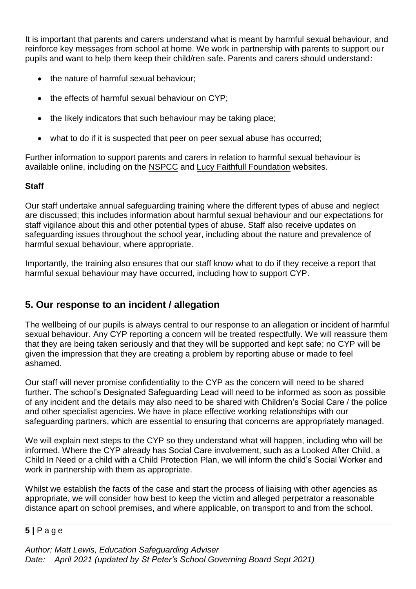It is important that parents and carers understand what is meant by harmful sexual behaviour, and reinforce key messages from school at home. We work in partnership with parents to support our pupils and want to help them keep their child/ren safe. Parents and carers should understand:

- the nature of harmful sexual behaviour;
- the effects of harmful sexual behaviour on CYP:
- the likely indicators that such behaviour may be taking place;
- what to do if it is suspected that peer on peer sexual abuse has occurred;

Further information to support parents and carers in relation to harmful sexual behaviour is available online, including on the [NSPCC](https://www.nspcc.org.uk/what-is-child-abuse/types-of-abuse/child-sexual-abuse/#support) and [Lucy Faithfull Foundation](https://www.lucyfaithfull.org.uk/parents-protect.htm) websites.

## **Staff**

Our staff undertake annual safeguarding training where the different types of abuse and neglect are discussed; this includes information about harmful sexual behaviour and our expectations for staff vigilance about this and other potential types of abuse. Staff also receive updates on safeguarding issues throughout the school year, including about the nature and prevalence of harmful sexual behaviour, where appropriate.

Importantly, the training also ensures that our staff know what to do if they receive a report that harmful sexual behaviour may have occurred, including how to support CYP.

## **5. Our response to an incident / allegation**

The wellbeing of our pupils is always central to our response to an allegation or incident of harmful sexual behaviour. Any CYP reporting a concern will be treated respectfully. We will reassure them that they are being taken seriously and that they will be supported and kept safe; no CYP will be given the impression that they are creating a problem by reporting abuse or made to feel ashamed.

Our staff will never promise confidentiality to the CYP as the concern will need to be shared further. The school's Designated Safeguarding Lead will need to be informed as soon as possible of any incident and the details may also need to be shared with Children's Social Care / the police and other specialist agencies. We have in place effective working relationships with our safeguarding partners, which are essential to ensuring that concerns are appropriately managed.

We will explain next steps to the CYP so they understand what will happen, including who will be informed. Where the CYP already has Social Care involvement, such as a Looked After Child, a Child In Need or a child with a Child Protection Plan, we will inform the child's Social Worker and work in partnership with them as appropriate.

Whilst we establish the facts of the case and start the process of liaising with other agencies as appropriate, we will consider how best to keep the victim and alleged perpetrator a reasonable distance apart on school premises, and where applicable, on transport to and from the school.

## **5 |** P a g e

*Author: Matt Lewis, Education Safeguarding Adviser Date: April 2021 (updated by St Peter's School Governing Board Sept 2021)*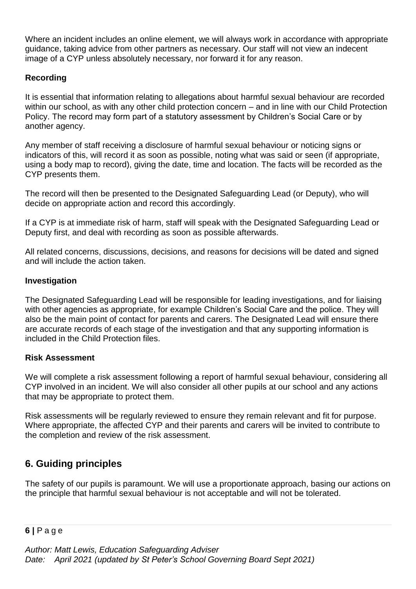Where an incident includes an online element, we will always work in accordance with appropriate guidance, taking advice from other partners as necessary. Our staff will not view an indecent image of a CYP unless absolutely necessary, nor forward it for any reason.

## **Recording**

It is essential that information relating to allegations about harmful sexual behaviour are recorded within our school, as with any other child protection concern – and in line with our Child Protection Policy. The record may form part of a statutory assessment by Children's Social Care or by another agency.

Any member of staff receiving a disclosure of harmful sexual behaviour or noticing signs or indicators of this, will record it as soon as possible, noting what was said or seen (if appropriate, using a body map to record), giving the date, time and location. The facts will be recorded as the CYP presents them.

The record will then be presented to the Designated Safeguarding Lead (or Deputy), who will decide on appropriate action and record this accordingly.

If a CYP is at immediate risk of harm, staff will speak with the Designated Safeguarding Lead or Deputy first, and deal with recording as soon as possible afterwards.

All related concerns, discussions, decisions, and reasons for decisions will be dated and signed and will include the action taken.

## **Investigation**

The Designated Safeguarding Lead will be responsible for leading investigations, and for liaising with other agencies as appropriate, for example Children's Social Care and the police. They will also be the main point of contact for parents and carers. The Designated Lead will ensure there are accurate records of each stage of the investigation and that any supporting information is included in the Child Protection files.

### **Risk Assessment**

We will complete a risk assessment following a report of harmful sexual behaviour, considering all CYP involved in an incident. We will also consider all other pupils at our school and any actions that may be appropriate to protect them.

Risk assessments will be regularly reviewed to ensure they remain relevant and fit for purpose. Where appropriate, the affected CYP and their parents and carers will be invited to contribute to the completion and review of the risk assessment.

# **6. Guiding principles**

The safety of our pupils is paramount. We will use a proportionate approach, basing our actions on the principle that harmful sexual behaviour is not acceptable and will not be tolerated.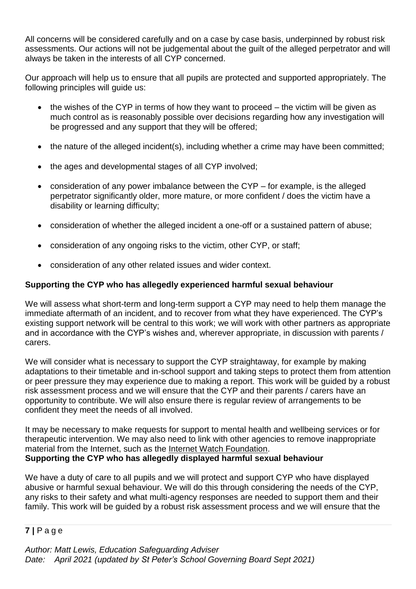All concerns will be considered carefully and on a case by case basis, underpinned by robust risk assessments. Our actions will not be judgemental about the guilt of the alleged perpetrator and will always be taken in the interests of all CYP concerned.

Our approach will help us to ensure that all pupils are protected and supported appropriately. The following principles will guide us:

- the wishes of the CYP in terms of how they want to proceed the victim will be given as much control as is reasonably possible over decisions regarding how any investigation will be progressed and any support that they will be offered;
- the nature of the alleged incident(s), including whether a crime may have been committed;
- the ages and developmental stages of all CYP involved;
- consideration of any power imbalance between the CYP for example, is the alleged perpetrator significantly older, more mature, or more confident / does the victim have a disability or learning difficulty;
- consideration of whether the alleged incident a one-off or a sustained pattern of abuse;
- consideration of any ongoing risks to the victim, other CYP, or staff;
- consideration of any other related issues and wider context.

### **Supporting the CYP who has allegedly experienced harmful sexual behaviour**

We will assess what short-term and long-term support a CYP may need to help them manage the immediate aftermath of an incident, and to recover from what they have experienced. The CYP's existing support network will be central to this work; we will work with other partners as appropriate and in accordance with the CYP's wishes and, wherever appropriate, in discussion with parents / carers.

We will consider what is necessary to support the CYP straightaway, for example by making adaptations to their timetable and in-school support and taking steps to protect them from attention or peer pressure they may experience due to making a report. This work will be guided by a robust risk assessment process and we will ensure that the CYP and their parents / carers have an opportunity to contribute. We will also ensure there is regular review of arrangements to be confident they meet the needs of all involved.

It may be necessary to make requests for support to mental health and wellbeing services or for therapeutic intervention. We may also need to link with other agencies to remove inappropriate material from the Internet, such as the [Internet Watch Foundation.](https://www.iwf.org.uk/) **Supporting the CYP who has allegedly displayed harmful sexual behaviour**

We have a duty of care to all pupils and we will protect and support CYP who have displayed abusive or harmful sexual behaviour. We will do this through considering the needs of the CYP, any risks to their safety and what multi-agency responses are needed to support them and their family. This work will be guided by a robust risk assessment process and we will ensure that the

### **7 |** P a g e

*Author: Matt Lewis, Education Safeguarding Adviser Date: April 2021 (updated by St Peter's School Governing Board Sept 2021)*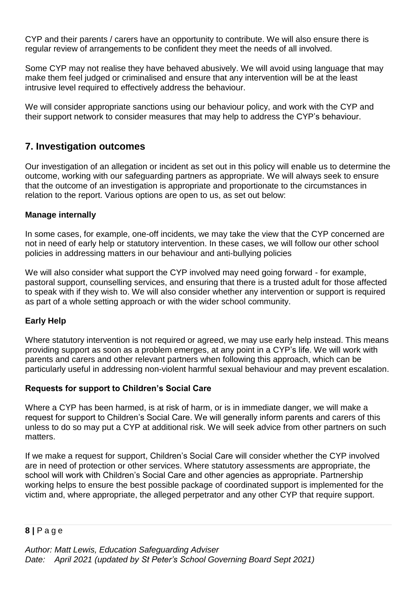CYP and their parents / carers have an opportunity to contribute. We will also ensure there is regular review of arrangements to be confident they meet the needs of all involved.

Some CYP may not realise they have behaved abusively. We will avoid using language that may make them feel judged or criminalised and ensure that any intervention will be at the least intrusive level required to effectively address the behaviour.

We will consider appropriate sanctions using our behaviour policy, and work with the CYP and their support network to consider measures that may help to address the CYP's behaviour.

## **7. Investigation outcomes**

Our investigation of an allegation or incident as set out in this policy will enable us to determine the outcome, working with our safeguarding partners as appropriate. We will always seek to ensure that the outcome of an investigation is appropriate and proportionate to the circumstances in relation to the report. Various options are open to us, as set out below:

### **Manage internally**

In some cases, for example, one-off incidents, we may take the view that the CYP concerned are not in need of early help or statutory intervention. In these cases, we will follow our other school policies in addressing matters in our behaviour and anti-bullying policies

We will also consider what support the CYP involved may need going forward - for example, pastoral support, counselling services, and ensuring that there is a trusted adult for those affected to speak with if they wish to. We will also consider whether any intervention or support is required as part of a whole setting approach or with the wider school community.

## **Early Help**

Where statutory intervention is not required or agreed, we may use early help instead. This means providing support as soon as a problem emerges, at any point in a CYP's life. We will work with parents and carers and other relevant partners when following this approach, which can be particularly useful in addressing non-violent harmful sexual behaviour and may prevent escalation.

### **Requests for support to Children's Social Care**

Where a CYP has been harmed, is at risk of harm, or is in immediate danger, we will make a request for support to Children's Social Care. We will generally inform parents and carers of this unless to do so may put a CYP at additional risk. We will seek advice from other partners on such matters

If we make a request for support, Children's Social Care will consider whether the CYP involved are in need of protection or other services. Where statutory assessments are appropriate, the school will work with Children's Social Care and other agencies as appropriate. Partnership working helps to ensure the best possible package of coordinated support is implemented for the victim and, where appropriate, the alleged perpetrator and any other CYP that require support.